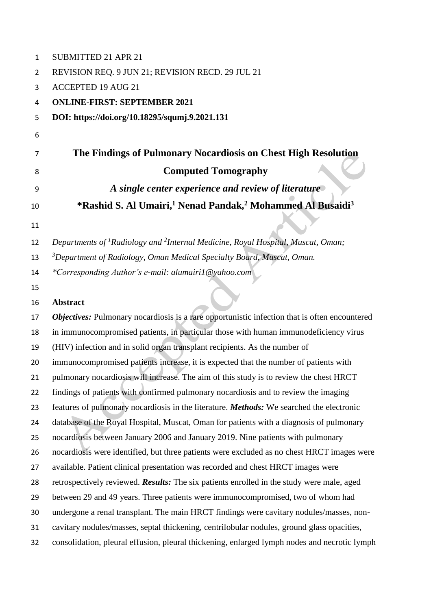| 1  | SUBMITTED 21 APR 21                                                                                     |
|----|---------------------------------------------------------------------------------------------------------|
| 2  | REVISION REQ. 9 JUN 21; REVISION RECD. 29 JUL 21                                                        |
| 3  | <b>ACCEPTED 19 AUG 21</b>                                                                               |
| 4  | <b>ONLINE-FIRST: SEPTEMBER 2021</b>                                                                     |
| 5  | DOI: https://doi.org/10.18295/squmj.9.2021.131                                                          |
| 6  |                                                                                                         |
| 7  | The Findings of Pulmonary Nocardiosis on Chest High Resolution                                          |
| 8  | <b>Computed Tomography</b>                                                                              |
| 9  | A single center experience and review of literature                                                     |
| 10 | *Rashid S. Al Umairi, <sup>1</sup> Nenad Pandak, <sup>2</sup> Mohammed Al Busaidi <sup>3</sup>          |
| 11 |                                                                                                         |
| 12 | Departments of <sup>1</sup> Radiology and <sup>2</sup> Internal Medicine, Royal Hospital, Muscat, Oman; |
| 13 | <sup>3</sup> Department of Radiology, Oman Medical Specialty Board, Muscat, Oman.                       |
| 14 | *Corresponding Author's e-mail: alumairi1@yahoo.com                                                     |
| 15 |                                                                                                         |
| 16 | <b>Abstract</b>                                                                                         |
| 17 | <b>Objectives:</b> Pulmonary nocardiosis is a rare opportunistic infection that is often encountered    |
| 18 | in immunocompromised patients, in particular those with human immunodeficiency virus                    |
| 19 | (HIV) infection and in solid organ transplant recipients. As the number of                              |
| 20 | immunocompromised patients increase, it is expected that the number of patients with                    |
| 21 | pulmonary nocardiosis will increase. The aim of this study is to review the chest HRCT                  |
| 22 | findings of patients with confirmed pulmonary nocardiosis and to review the imaging                     |
| 23 | features of pulmonary nocardiosis in the literature. Methods: We searched the electronic                |
| 24 | database of the Royal Hospital, Muscat, Oman for patients with a diagnosis of pulmonary                 |
| 25 | nocardiosis between January 2006 and January 2019. Nine patients with pulmonary                         |
| 26 | nocardiosis were identified, but three patients were excluded as no chest HRCT images were              |
| 27 | available. Patient clinical presentation was recorded and chest HRCT images were                        |
| 28 | retrospectively reviewed. Results: The six patients enrolled in the study were male, aged               |
| 29 | between 29 and 49 years. Three patients were immunocompromised, two of whom had                         |
| 30 | undergone a renal transplant. The main HRCT findings were cavitary nodules/masses, non-                 |
| 31 | cavitary nodules/masses, septal thickening, centrilobular nodules, ground glass opacities,              |
| 32 | consolidation, pleural effusion, pleural thickening, enlarged lymph nodes and necrotic lymph            |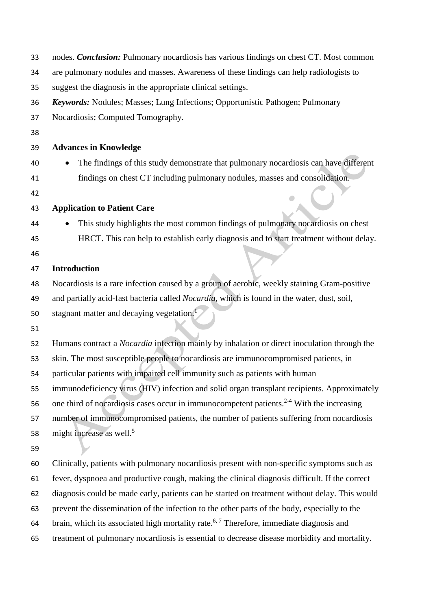| 33 | nodes. <i>Conclusion</i> : Pulmonary nocardiosis has various findings on chest CT. Most common       |
|----|------------------------------------------------------------------------------------------------------|
| 34 | are pulmonary nodules and masses. Awareness of these findings can help radiologists to               |
| 35 | suggest the diagnosis in the appropriate clinical settings.                                          |
| 36 | <b>Keywords:</b> Nodules; Masses; Lung Infections; Opportunistic Pathogen; Pulmonary                 |
| 37 | Nocardiosis; Computed Tomography.                                                                    |
| 38 |                                                                                                      |
| 39 | <b>Advances in Knowledge</b>                                                                         |
| 40 | The findings of this study demonstrate that pulmonary nocardiosis can have different                 |
| 41 | findings on chest CT including pulmonary nodules, masses and consolidation.                          |
| 42 |                                                                                                      |
| 43 | <b>Application to Patient Care</b>                                                                   |
| 44 | This study highlights the most common findings of pulmonary nocardiosis on chest                     |
| 45 | HRCT. This can help to establish early diagnosis and to start treatment without delay.               |
| 46 |                                                                                                      |
| 47 | <b>Introduction</b>                                                                                  |
| 48 | Nocardiosis is a rare infection caused by a group of aerobic, weekly staining Gram-positive          |
| 49 | and partially acid-fast bacteria called Nocardia, which is found in the water, dust, soil,           |
| 50 | stagnant matter and decaying vegetation. <sup>1</sup>                                                |
| 51 |                                                                                                      |
| 52 | Humans contract a <i>Nocardia</i> infection mainly by inhalation or direct inoculation through the   |
| 53 | skin. The most susceptible people to nocardiosis are immunocompromised patients, in                  |
| 54 | particular patients with impaired cell immunity such as patients with human                          |
| 55 | immunodeficiency virus (HIV) infection and solid organ transplant recipients. Approximately          |
| 56 | one third of nocardiosis cases occur in immunocompetent patients. <sup>2-4</sup> With the increasing |
| 57 | number of immunocompromised patients, the number of patients suffering from nocardiosis              |
| 58 | might increase as well. <sup>5</sup>                                                                 |
| 59 |                                                                                                      |
| 60 | Clinically, patients with pulmonary nocardiosis present with non-specific symptoms such as           |
| 61 | fever, dyspnoea and productive cough, making the clinical diagnosis difficult. If the correct        |
| 62 | diagnosis could be made early, patients can be started on treatment without delay. This would        |
| 63 | prevent the dissemination of the infection to the other parts of the body, especially to the         |
| 64 | brain, which its associated high mortality rate. <sup>6,7</sup> Therefore, immediate diagnosis and   |
| 65 | treatment of pulmonary nocardiosis is essential to decrease disease morbidity and mortality.         |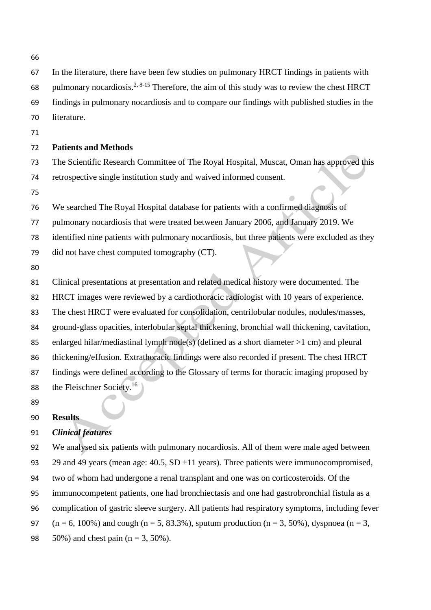- In the literature, there have been few studies on pulmonary HRCT findings in patients with 68 pulmonary nocardiosis.<sup>2, 8-15</sup> Therefore, the aim of this study was to review the chest HRCT findings in pulmonary nocardiosis and to compare our findings with published studies in the literature. **Patients and Methods** The Scientific Research Committee of The Royal Hospital, Muscat, Oman has approved this retrospective single institution study and waived informed consent. We searched The Royal Hospital database for patients with a confirmed diagnosis of pulmonary nocardiosis that were treated between January 2006, and January 2019. We identified nine patients with pulmonary nocardiosis, but three patients were excluded as they did not have chest computed tomography (CT). Clinical presentations at presentation and related medical history were documented. The HRCT images were reviewed by a cardiothoracic radiologist with 10 years of experience. The chest HRCT were evaluated for consolidation, centrilobular nodules, nodules/masses, ground-glass opacities, interlobular septal thickening, bronchial wall thickening, cavitation, enlarged hilar/mediastinal lymph node(s) (defined as a short diameter >1 cm) and pleural thickening/effusion. Extrathoracic findings were also recorded if present. The chest HRCT findings were defined according to the Glossary of terms for thoracic imaging proposed by 88 the Fleischner Society.<sup>16</sup>
- 

## **Results**

# *Clinical features*

 We analysed six patients with pulmonary nocardiosis. All of them were male aged between 93 29 and 49 years (mean age:  $40.5$ , SD  $\pm$ 11 years). Three patients were immunocompromised, two of whom had undergone a renal transplant and one was on corticosteroids. Of the immunocompetent patients, one had bronchiectasis and one had gastrobronchial fistula as a complication of gastric sleeve surgery. All patients had respiratory symptoms, including fever 97 (n = 6, 100%) and cough (n = 5, 83.3%), sputum production (n = 3, 50%), dyspnoea (n = 3, 50%) and chest pain (n = 3, 50%).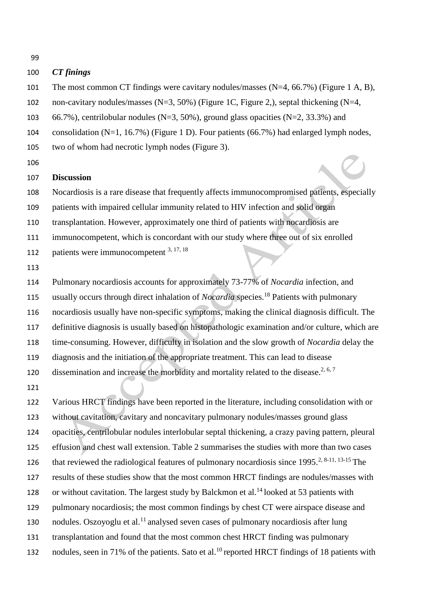### *CT finings*

- The most common CT findings were cavitary nodules/masses (N=4, 66.7%) (Figure 1 A, B),
- non-cavitary nodules/masses (N=3, 50%) (Figure 1C, Figure 2,), septal thickening (N=4,
- 103 66.7%), centrilobular nodules (N=3, 50%), ground glass opacities (N=2, 33.3%) and
- consolidation (N=1, 16.7%) (Figure 1 D). Four patients (66.7%) had enlarged lymph nodes,
- two of whom had necrotic lymph nodes (Figure 3).
- 

#### **Discussion**

- Nocardiosis is a rare disease that frequently affects immunocompromised patients, especially
- patients with impaired cellular immunity related to HIV infection and solid organ
- transplantation. However, approximately one third of patients with nocardiosis are
- immunocompetent, which is concordant with our study where three out of six enrolled
- 112 patients were immunocompetent  $3, 17, 18$
- 

 Pulmonary nocardiosis accounts for approximately 73-77% of *Nocardia* infection, and 115 usually occurs through direct inhalation of *Nocardia* species.<sup>18</sup> Patients with pulmonary nocardiosis usually have non-specific symptoms, making the clinical diagnosis difficult. The definitive diagnosis is usually based on histopathologic examination and/or culture, which are time-consuming. However, difficulty in isolation and the slow growth of *Nocardia* delay the diagnosis and the initiation of the appropriate treatment. This can lead to disease 120 dissemination and increase the morbidity and mortality related to the disease.<sup>2, 6, 7</sup>

 Various HRCT findings have been reported in the literature, including consolidation with or without cavitation, cavitary and noncavitary pulmonary nodules/masses ground glass opacities, centrilobular nodules interlobular septal thickening, a crazy paving pattern, pleural effusion and chest wall extension. Table 2 summarises the studies with more than two cases 126 that reviewed the radiological features of pulmonary nocardiosis since  $1995<sup>2, 8-11, 13-15</sup>$  The results of these studies show that the most common HRCT findings are nodules/masses with 128 or without cavitation. The largest study by Balckmon et al.<sup>14</sup> looked at 53 patients with pulmonary nocardiosis; the most common findings by chest CT were airspace disease and nodules. Oszoyoglu et al.<sup>11</sup> analysed seven cases of pulmonary nocardiosis after lung transplantation and found that the most common chest HRCT finding was pulmonary nodules, seen in 71% of the patients. Sato et al.<sup>10</sup> reported HRCT findings of 18 patients with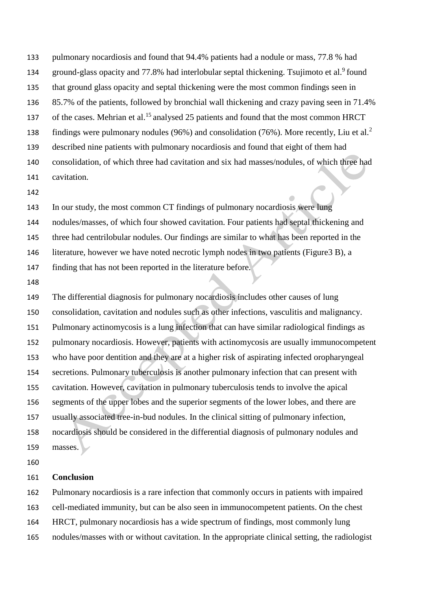pulmonary nocardiosis and found that 94.4% patients had a nodule or mass, 77.8 % had 134 ground-glass opacity and 77.8% had interlobular septal thickening. Tsujimoto et al.<sup>9</sup> found that ground glass opacity and septal thickening were the most common findings seen in 85.7% of the patients, followed by bronchial wall thickening and crazy paving seen in 71.4% 137 of the cases. Mehrian et al.<sup>15</sup> analysed 25 patients and found that the most common HRCT findings were pulmonary nodules (96%) and consolidation (76%). More recently, Liu et al.<sup>2</sup> described nine patients with pulmonary nocardiosis and found that eight of them had consolidation, of which three had cavitation and six had masses/nodules, of which three had cavitation.

 In our study, the most common CT findings of pulmonary nocardiosis were lung nodules/masses, of which four showed cavitation. Four patients had septal thickening and three had centrilobular nodules. Our findings are similar to what has been reported in the literature, however we have noted necrotic lymph nodes in two patients (Figure3 B), a

finding that has not been reported in the literature before.

 The differential diagnosis for pulmonary nocardiosis includes other causes of lung consolidation, cavitation and nodules such as other infections, vasculitis and malignancy. Pulmonary actinomycosis is a lung infection that can have similar radiological findings as pulmonary nocardiosis. However, patients with actinomycosis are usually immunocompetent who have poor dentition and they are at a higher risk of aspirating infected oropharyngeal secretions. Pulmonary tuberculosis is another pulmonary infection that can present with cavitation. However, cavitation in pulmonary tuberculosis tends to involve the apical segments of the upper lobes and the superior segments of the lower lobes, and there are usually associated tree-in-bud nodules. In the clinical sitting of pulmonary infection, nocardiosis should be considered in the differential diagnosis of pulmonary nodules and 159 masses.

#### **Conclusion**

Pulmonary nocardiosis is a rare infection that commonly occurs in patients with impaired

cell-mediated immunity, but can be also seen in immunocompetent patients. On the chest

HRCT, pulmonary nocardiosis has a wide spectrum of findings, most commonly lung

nodules/masses with or without cavitation. In the appropriate clinical setting, the radiologist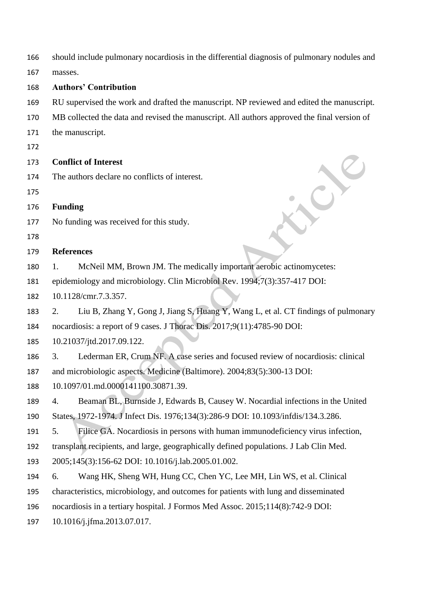should include pulmonary nocardiosis in the differential diagnosis of pulmonary nodules and

masses.

- **Authors' Contribution**
- RU supervised the work and drafted the manuscript. NP reviewed and edited the manuscript.
- MB collected the data and revised the manuscript. All authors approved the final version of
- the manuscript.
- 

### **Conflict of Interest**

- The authors declare no conflicts of interest.
- 
- **Funding**
- No funding was received for this study.
- 

## **References**

- 1. McNeil MM, Brown JM. The medically important aerobic actinomycetes:
- epidemiology and microbiology. Clin Microbiol Rev. 1994;7(3):357-417 DOI:
- 10.1128/cmr.7.3.357.

 2. Liu B, Zhang Y, Gong J, Jiang S, Huang Y, Wang L, et al. CT findings of pulmonary nocardiosis: a report of 9 cases. J Thorac Dis. 2017;9(11):4785-90 DOI:

- 10.21037/jtd.2017.09.122.
- 3. Lederman ER, Crum NF. A case series and focused review of nocardiosis: clinical

and microbiologic aspects. Medicine (Baltimore). 2004;83(5):300-13 DOI:

10.1097/01.md.0000141100.30871.39.

4. Beaman BL, Burnside J, Edwards B, Causey W. Nocardial infections in the United

States, 1972-1974. J Infect Dis. 1976;134(3):286-9 DOI: 10.1093/infdis/134.3.286.

5. Filice GA. Nocardiosis in persons with human immunodeficiency virus infection,

transplant recipients, and large, geographically defined populations. J Lab Clin Med.

2005;145(3):156-62 DOI: 10.1016/j.lab.2005.01.002.

- 6. Wang HK, Sheng WH, Hung CC, Chen YC, Lee MH, Lin WS, et al. Clinical
- characteristics, microbiology, and outcomes for patients with lung and disseminated
- nocardiosis in a tertiary hospital. J Formos Med Assoc. 2015;114(8):742-9 DOI:

10.1016/j.jfma.2013.07.017.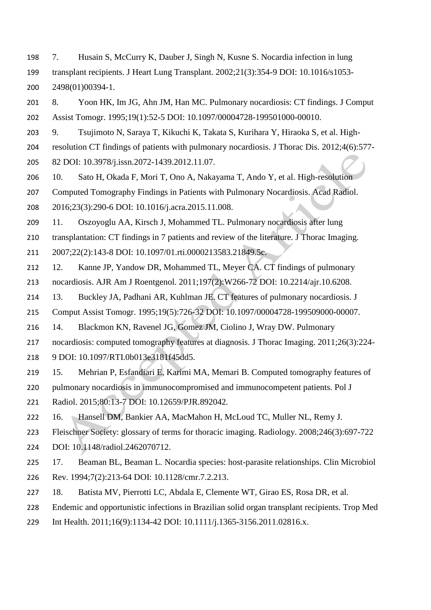- 7. Husain S, McCurry K, Dauber J, Singh N, Kusne S. Nocardia infection in lung transplant recipients. J Heart Lung Transplant. 2002;21(3):354-9 DOI: 10.1016/s1053- 2498(01)00394-1.
- 8. Yoon HK, Im JG, Ahn JM, Han MC. Pulmonary nocardiosis: CT findings. J Comput Assist Tomogr. 1995;19(1):52-5 DOI: 10.1097/00004728-199501000-00010.
- 9. Tsujimoto N, Saraya T, Kikuchi K, Takata S, Kurihara Y, Hiraoka S, et al. High-
- resolution CT findings of patients with pulmonary nocardiosis. J Thorac Dis. 2012;4(6):577-
- 82 DOI: 10.3978/j.issn.2072-1439.2012.11.07.
- 10. Sato H, Okada F, Mori T, Ono A, Nakayama T, Ando Y, et al. High-resolution
- Computed Tomography Findings in Patients with Pulmonary Nocardiosis. Acad Radiol.
- 2016;23(3):290-6 DOI: 10.1016/j.acra.2015.11.008.
- 11. Oszoyoglu AA, Kirsch J, Mohammed TL. Pulmonary nocardiosis after lung
- transplantation: CT findings in 7 patients and review of the literature. J Thorac Imaging.
- 2007;22(2):143-8 DOI: 10.1097/01.rti.0000213583.21849.5c.
- 12. Kanne JP, Yandow DR, Mohammed TL, Meyer CA. CT findings of pulmonary nocardiosis. AJR Am J Roentgenol. 2011;197(2):W266-72 DOI: 10.2214/ajr.10.6208.
- 13. Buckley JA, Padhani AR, Kuhlman JE. CT features of pulmonary nocardiosis. J
- Comput Assist Tomogr. 1995;19(5):726-32 DOI: 10.1097/00004728-199509000-00007.
- 14. Blackmon KN, Ravenel JG, Gomez JM, Ciolino J, Wray DW. Pulmonary
- nocardiosis: computed tomography features at diagnosis. J Thorac Imaging. 2011;26(3):224-
- 9 DOI: 10.1097/RTI.0b013e3181f45dd5.
- 15. Mehrian P, Esfandiari E, Karimi MA, Memari B. Computed tomography features of
- pulmonary nocardiosis in immunocompromised and immunocompetent patients. Pol J
- Radiol. 2015;80:13-7 DOI: 10.12659/PJR.892042.
- 16. Hansell DM, Bankier AA, MacMahon H, McLoud TC, Muller NL, Remy J.
- Fleischner Society: glossary of terms for thoracic imaging. Radiology. 2008;246(3):697-722
- DOI: 10.1148/radiol.2462070712.
- 17. Beaman BL, Beaman L. Nocardia species: host-parasite relationships. Clin Microbiol Rev. 1994;7(2):213-64 DOI: 10.1128/cmr.7.2.213.
- 18. Batista MV, Pierrotti LC, Abdala E, Clemente WT, Girao ES, Rosa DR, et al.
- Endemic and opportunistic infections in Brazilian solid organ transplant recipients. Trop Med
- Int Health. 2011;16(9):1134-42 DOI: 10.1111/j.1365-3156.2011.02816.x.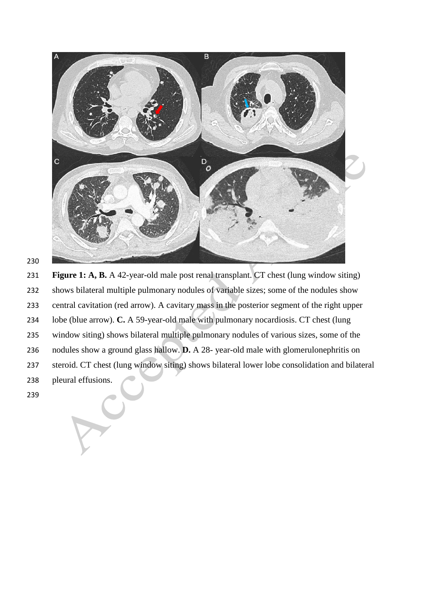